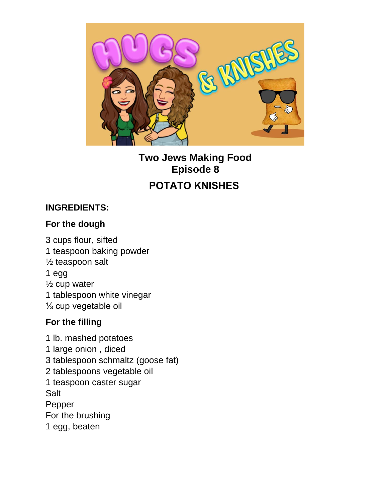

**Two Jews Making Food Episode 8 POTATO KNISHES**

### **INGREDIENTS:**

#### **For the dough**

3 cups flour, sifted 1 teaspoon baking powder ½ teaspoon salt 1 egg ½ cup water 1 tablespoon white vinegar ⅓ cup vegetable oil

#### **For the filling**

1 lb. mashed potatoes 1 large onion , diced 3 tablespoon schmaltz (goose fat) 2 tablespoons vegetable oil 1 teaspoon caster sugar Salt Pepper For the brushing 1 egg, beaten